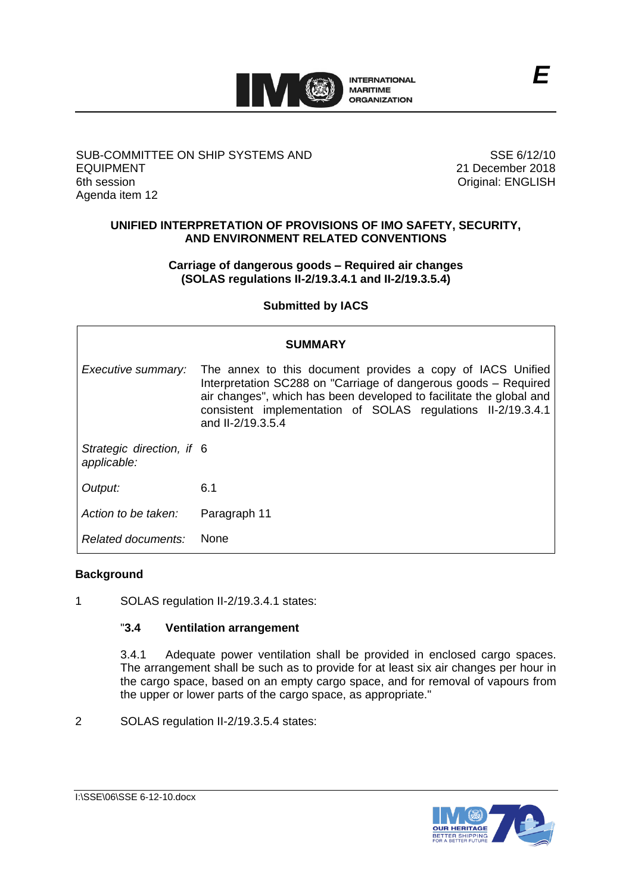

#### SUB-COMMITTEE ON SHIP SYSTEMS AND EQUIPMENT 6th session Agenda item 12

SSE 6/12/10 21 December 2018 Original: ENGLISH

### **UNIFIED INTERPRETATION OF PROVISIONS OF IMO SAFETY, SECURITY, AND ENVIRONMENT RELATED CONVENTIONS**

### **Carriage of dangerous goods – Required air changes (SOLAS regulations II-2/19.3.4.1 and II-2/19.3.5.4)**

# **Submitted by IACS**

| <b>SUMMARY</b>                           |                                                                                                                                                                                                                                                                                           |
|------------------------------------------|-------------------------------------------------------------------------------------------------------------------------------------------------------------------------------------------------------------------------------------------------------------------------------------------|
| Executive summary:                       | The annex to this document provides a copy of IACS Unified<br>Interpretation SC288 on "Carriage of dangerous goods - Required<br>air changes", which has been developed to facilitate the global and<br>consistent implementation of SOLAS regulations II-2/19.3.4.1<br>and II-2/19.3.5.4 |
| Strategic direction, if 6<br>applicable: |                                                                                                                                                                                                                                                                                           |
| Output:                                  | 6.1                                                                                                                                                                                                                                                                                       |
| Action to be taken:                      | Paragraph 11                                                                                                                                                                                                                                                                              |
| Related documents:                       | <b>None</b>                                                                                                                                                                                                                                                                               |

# **Background**

1 SOLAS regulation II-2/19.3.4.1 states:

# "**3.4 Ventilation arrangement**

3.4.1 Adequate power ventilation shall be provided in enclosed cargo spaces. The arrangement shall be such as to provide for at least six air changes per hour in the cargo space, based on an empty cargo space, and for removal of vapours from the upper or lower parts of the cargo space, as appropriate."

2 SOLAS regulation II-2/19.3.5.4 states:

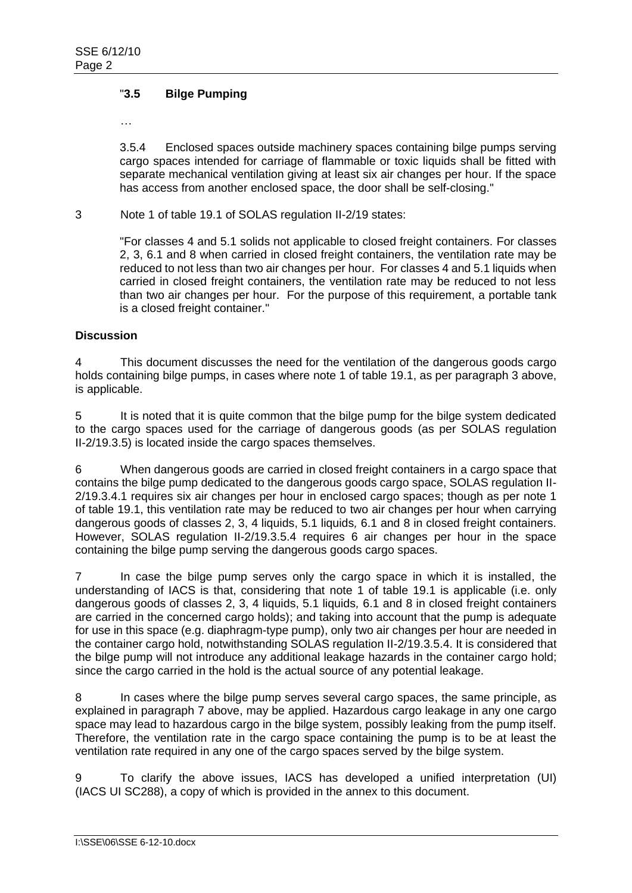## "**3.5 Bilge Pumping**

…

3.5.4 Enclosed spaces outside machinery spaces containing bilge pumps serving cargo spaces intended for carriage of flammable or toxic liquids shall be fitted with separate mechanical ventilation giving at least six air changes per hour. If the space has access from another enclosed space, the door shall be self-closing."

3 Note 1 of table 19.1 of SOLAS regulation II-2/19 states:

"For classes 4 and 5.1 solids not applicable to closed freight containers. For classes 2, 3, 6.1 and 8 when carried in closed freight containers, the ventilation rate may be reduced to not less than two air changes per hour. For classes 4 and 5.1 liquids when carried in closed freight containers, the ventilation rate may be reduced to not less than two air changes per hour. For the purpose of this requirement, a portable tank is a closed freight container."

#### **Discussion**

4 This document discusses the need for the ventilation of the dangerous goods cargo holds containing bilge pumps, in cases where note 1 of table 19.1, as per paragraph 3 above, is applicable.

5 It is noted that it is quite common that the bilge pump for the bilge system dedicated to the cargo spaces used for the carriage of dangerous goods (as per SOLAS regulation II-2/19.3.5) is located inside the cargo spaces themselves.

6 When dangerous goods are carried in closed freight containers in a cargo space that contains the bilge pump dedicated to the dangerous goods cargo space, SOLAS regulation II-2/19.3.4.1 requires six air changes per hour in enclosed cargo spaces; though as per note 1 of table 19.1, this ventilation rate may be reduced to two air changes per hour when carrying dangerous goods of classes 2, 3, 4 liquids, 5.1 liquids*,* 6.1 and 8 in closed freight containers. However, SOLAS regulation II-2/19.3.5.4 requires 6 air changes per hour in the space containing the bilge pump serving the dangerous goods cargo spaces.

7 In case the bilge pump serves only the cargo space in which it is installed, the understanding of IACS is that, considering that note 1 of table 19.1 is applicable (i.e. only dangerous goods of classes 2, 3, 4 liquids, 5.1 liquids*,* 6.1 and 8 in closed freight containers are carried in the concerned cargo holds); and taking into account that the pump is adequate for use in this space (e.g. diaphragm-type pump), only two air changes per hour are needed in the container cargo hold, notwithstanding SOLAS regulation II-2/19.3.5.4. It is considered that the bilge pump will not introduce any additional leakage hazards in the container cargo hold; since the cargo carried in the hold is the actual source of any potential leakage.

8 In cases where the bilge pump serves several cargo spaces, the same principle, as explained in paragraph 7 above, may be applied. Hazardous cargo leakage in any one cargo space may lead to hazardous cargo in the bilge system, possibly leaking from the pump itself. Therefore, the ventilation rate in the cargo space containing the pump is to be at least the ventilation rate required in any one of the cargo spaces served by the bilge system.

9 To clarify the above issues, IACS has developed a unified interpretation (UI) (IACS UI SC288), a copy of which is provided in the annex to this document.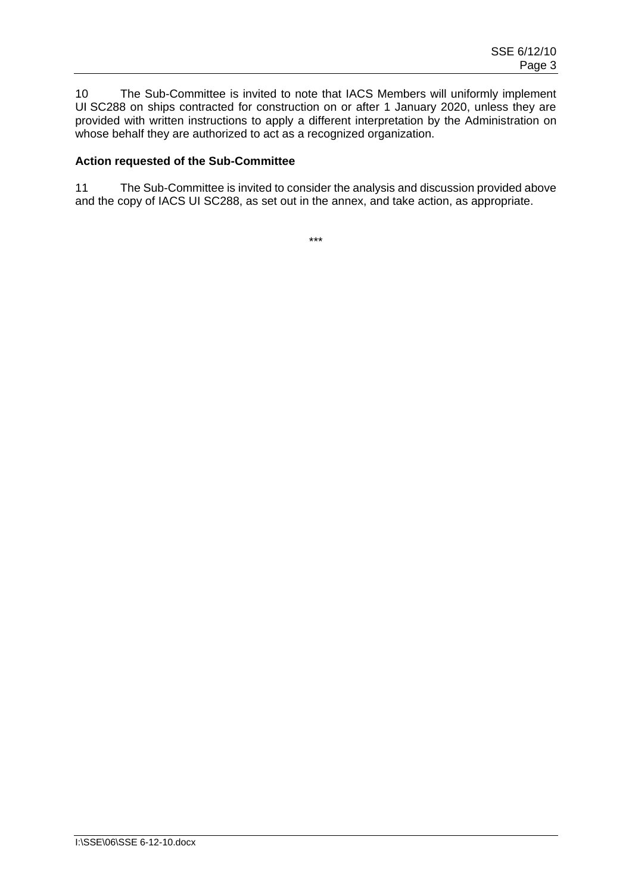10 The Sub-Committee is invited to note that IACS Members will uniformly implement UI SC288 on ships contracted for construction on or after 1 January 2020, unless they are provided with written instructions to apply a different interpretation by the Administration on whose behalf they are authorized to act as a recognized organization.

#### **Action requested of the Sub-Committee**

11 The Sub-Committee is invited to consider the analysis and discussion provided above and the copy of IACS UI SC288, as set out in the annex, and take action, as appropriate.

\*\*\*